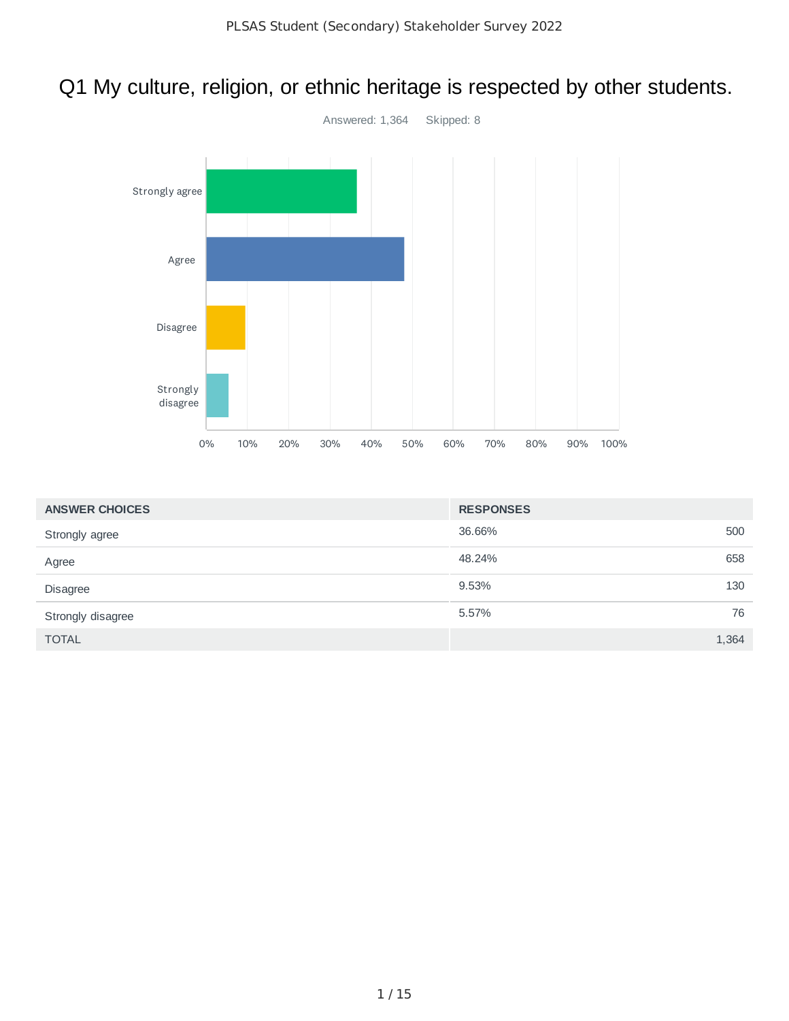# Q1 My culture, religion, or ethnic heritage is respected by other students.



| <b>ANSWER CHOICES</b> | <b>RESPONSES</b> |       |
|-----------------------|------------------|-------|
| Strongly agree        | 36.66%           | 500   |
| Agree                 | 48.24%           | 658   |
| Disagree              | 9.53%            | 130   |
| Strongly disagree     | 5.57%            | 76    |
| <b>TOTAL</b>          |                  | 1,364 |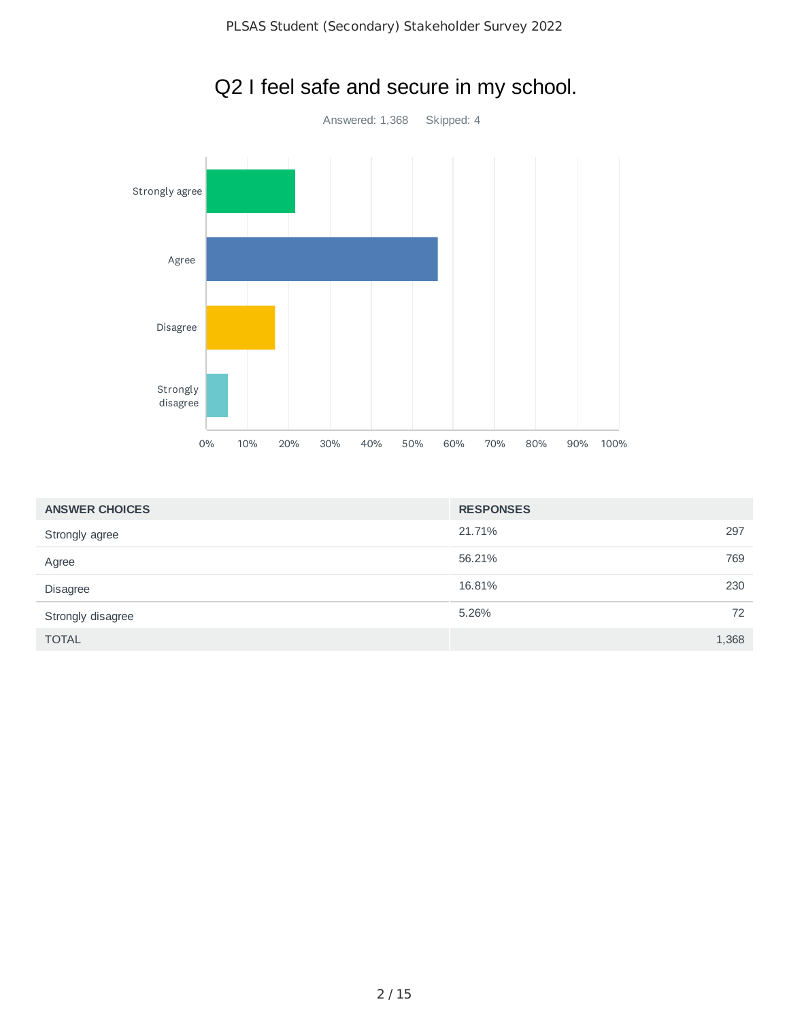

| <b>ANSWER CHOICES</b> | <b>RESPONSES</b> |       |
|-----------------------|------------------|-------|
| Strongly agree        | 21.71%           | 297   |
| Agree                 | 56.21%           | 769   |
| <b>Disagree</b>       | 16.81%           | 230   |
| Strongly disagree     | 5.26%            | 72    |
| <b>TOTAL</b>          |                  | 1,368 |

# Q2 I feel safe and secure in my school.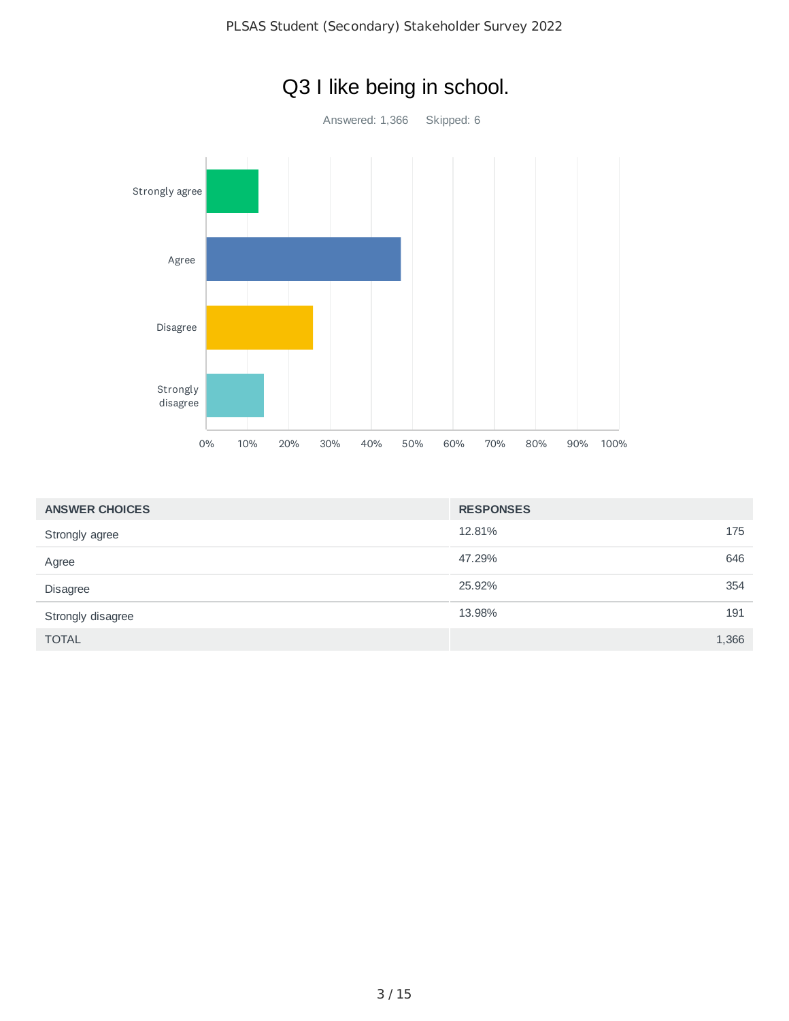

| <b>ANSWER CHOICES</b> | <b>RESPONSES</b> |       |
|-----------------------|------------------|-------|
| Strongly agree        | 12.81%           | 175   |
| Agree                 | 47.29%           | 646   |
| Disagree              | 25.92%           | 354   |
| Strongly disagree     | 13.98%           | 191   |
| <b>TOTAL</b>          |                  | 1,366 |

# Q3 I like being in school.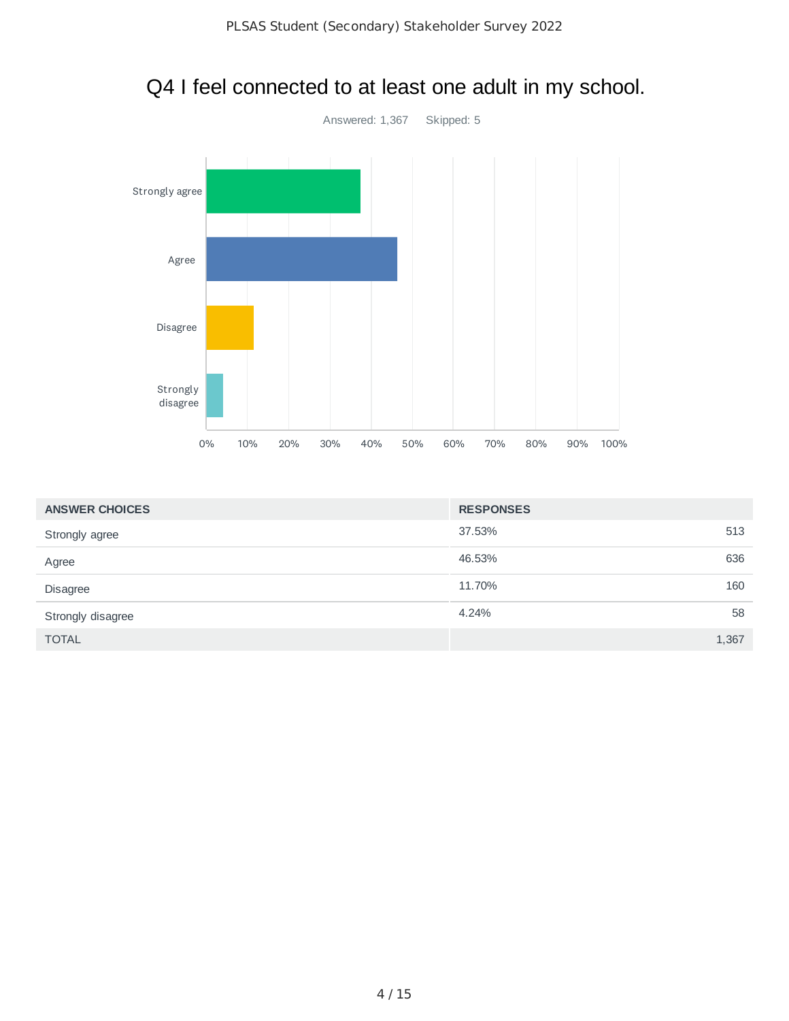

## Q4 I feel connected to at least one adult in my school.

| <b>ANSWER CHOICES</b> | <b>RESPONSES</b> |       |
|-----------------------|------------------|-------|
| Strongly agree        | 37.53%           | 513   |
| Agree                 | 46.53%           | 636   |
| <b>Disagree</b>       | 11.70%           | 160   |
| Strongly disagree     | 4.24%            | 58    |
| <b>TOTAL</b>          |                  | 1,367 |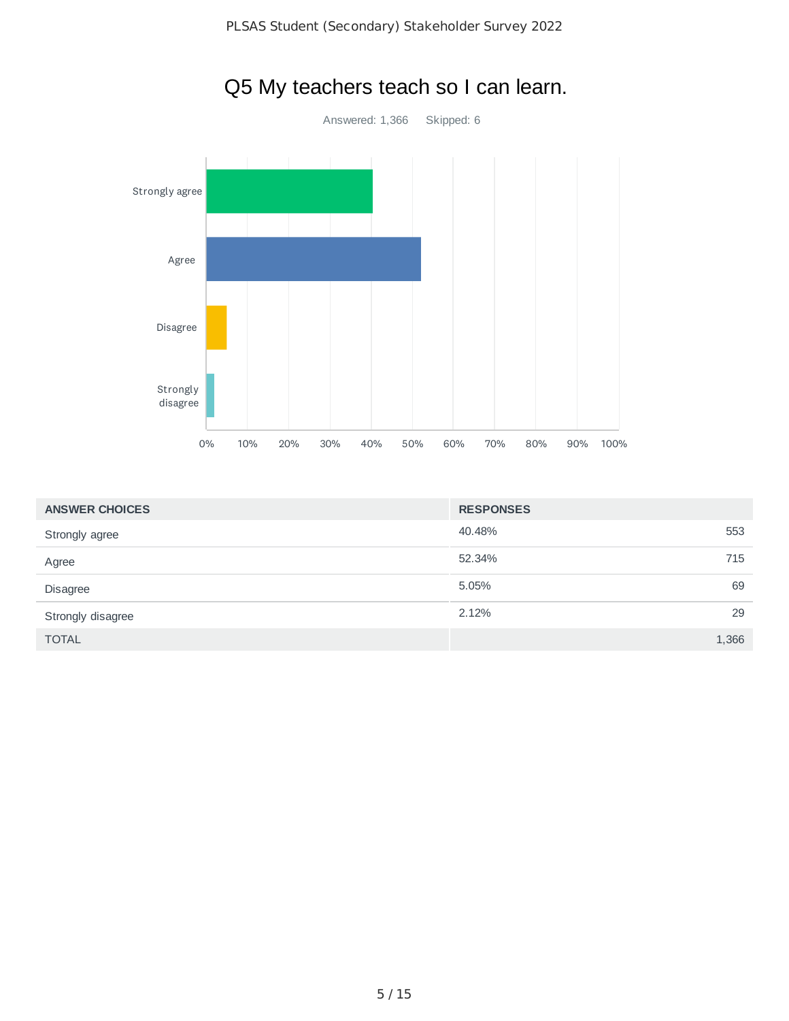

| <b>ANSWER CHOICES</b> | <b>RESPONSES</b> |       |
|-----------------------|------------------|-------|
| Strongly agree        | 40.48%           | 553   |
| Agree                 | 52.34%           | 715   |
| Disagree              | 5.05%            | 69    |
| Strongly disagree     | 2.12%            | 29    |
| <b>TOTAL</b>          |                  | 1,366 |

## Q5 My teachers teach so I can learn.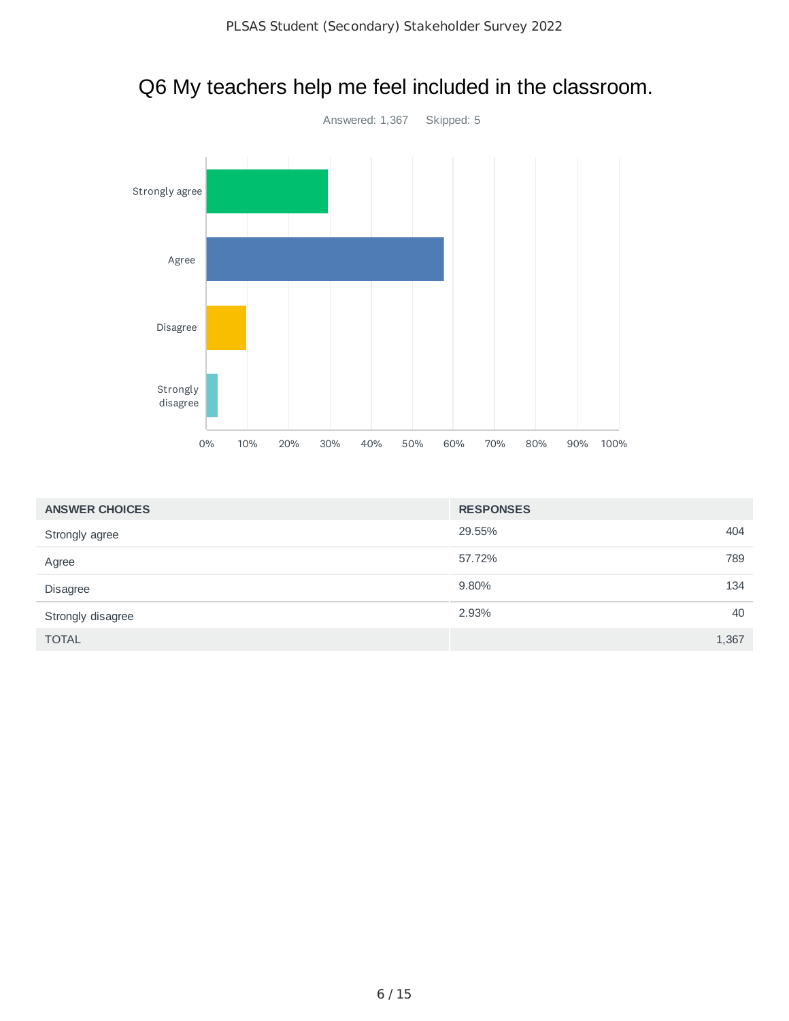

# Q6 My teachers help me feel included in the classroom.

| <b>ANSWER CHOICES</b> | <b>RESPONSES</b> |       |
|-----------------------|------------------|-------|
| Strongly agree        | 29.55%           | 404   |
| Agree                 | 57.72%           | 789   |
| Disagree              | 9.80%            | 134   |
| Strongly disagree     | 2.93%            | 40    |
| <b>TOTAL</b>          |                  | 1,367 |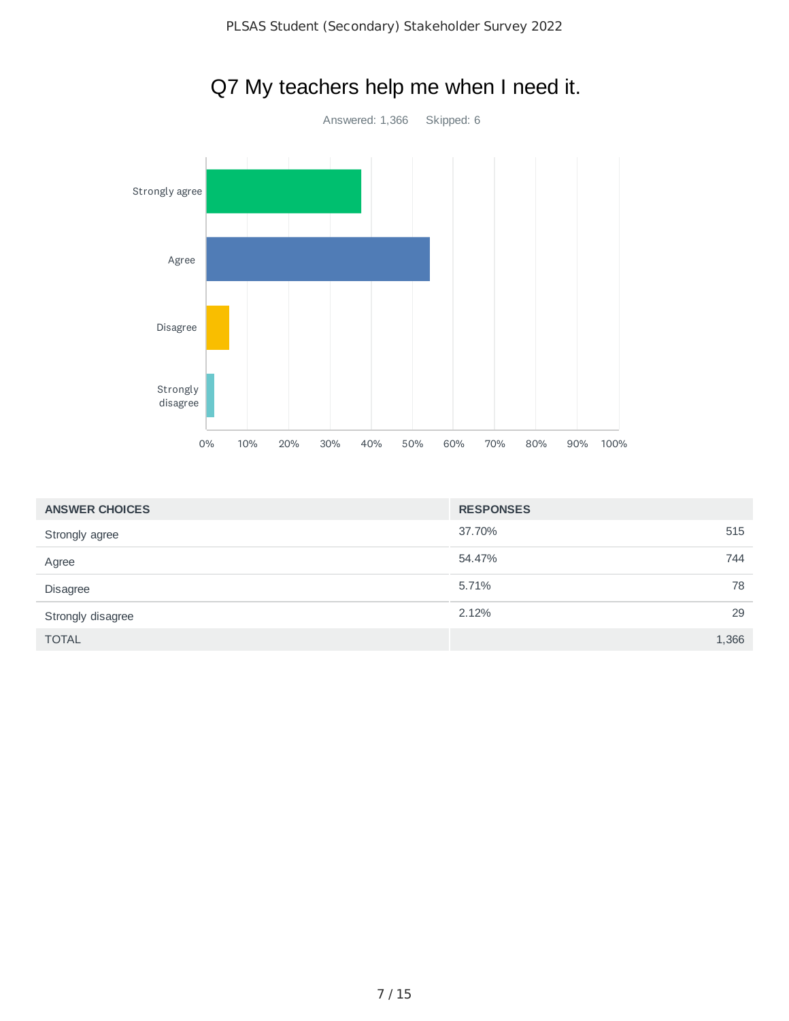

| <b>ANSWER CHOICES</b> | <b>RESPONSES</b> |       |
|-----------------------|------------------|-------|
| Strongly agree        | 37.70%           | 515   |
| Agree                 | 54.47%           | 744   |
| <b>Disagree</b>       | 5.71%            | 78    |
| Strongly disagree     | 2.12%            | 29    |
| <b>TOTAL</b>          |                  | 1,366 |

# Q7 My teachers help me when I need it.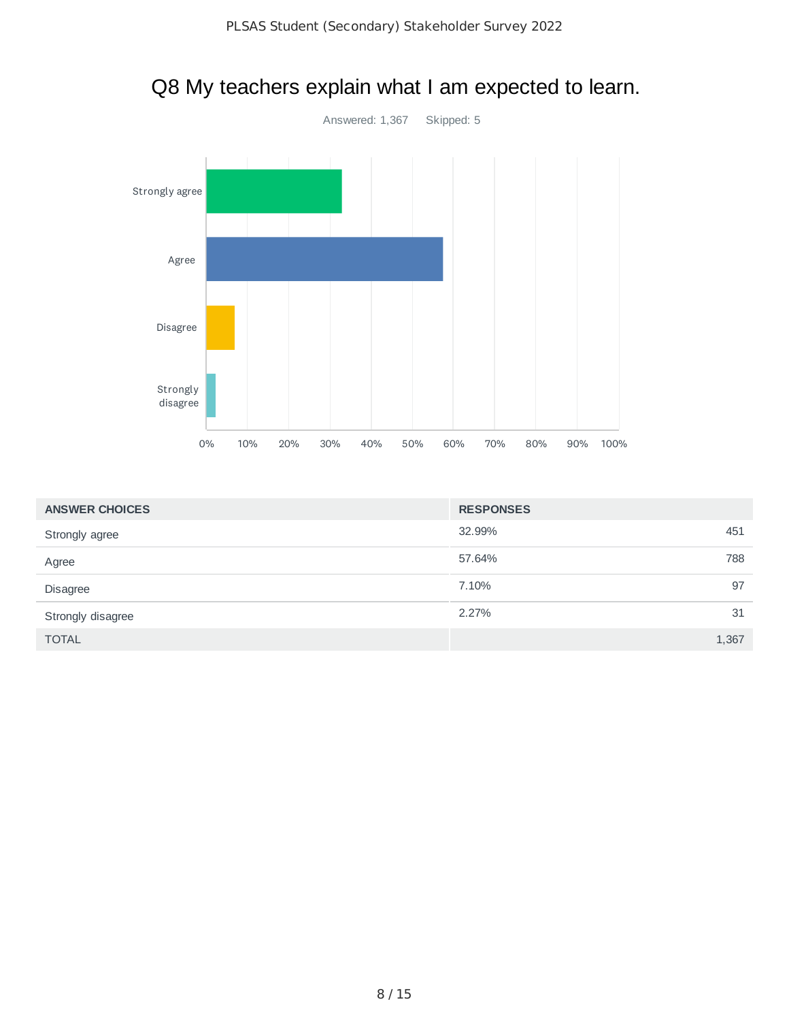

#### Q8 My teachers explain what I am expected to learn.

| <b>ANSWER CHOICES</b> | <b>RESPONSES</b> |       |
|-----------------------|------------------|-------|
| Strongly agree        | 32.99%           | 451   |
| Agree                 | 57.64%           | 788   |
| Disagree              | 7.10%            | 97    |
| Strongly disagree     | 2.27%            | 31    |
| <b>TOTAL</b>          |                  | 1,367 |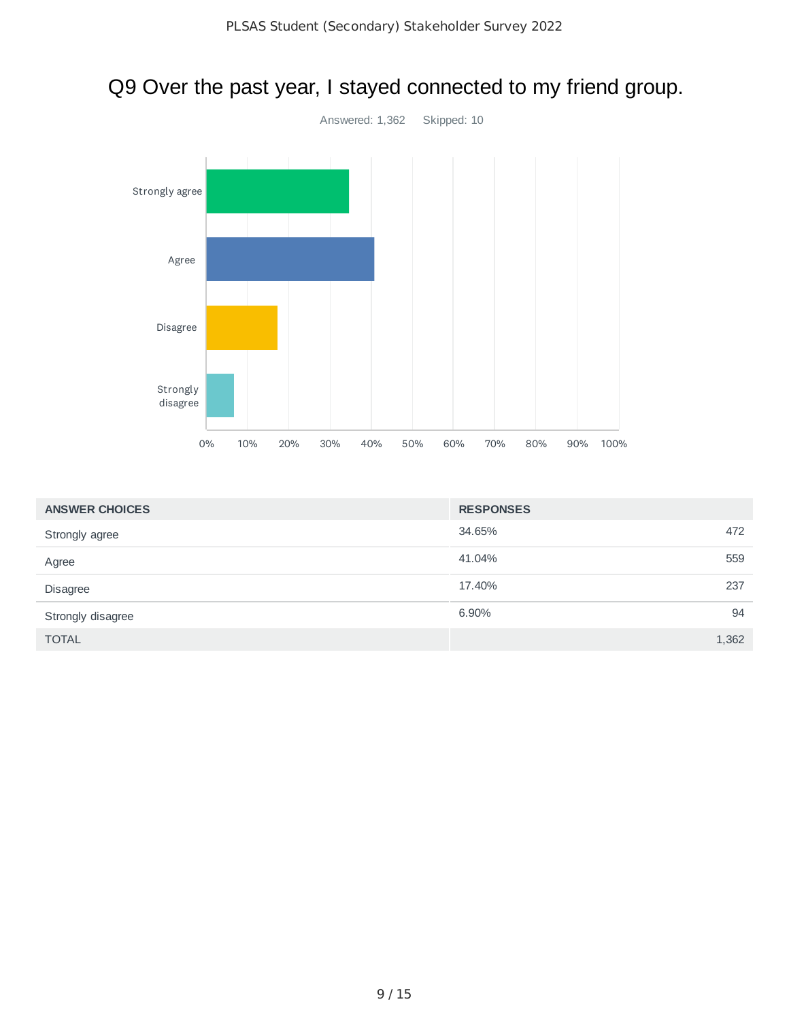## Q9 Over the past year, I stayed connected to my friend group.



| <b>ANSWER CHOICES</b> | <b>RESPONSES</b> |       |
|-----------------------|------------------|-------|
| Strongly agree        | 34.65%           | 472   |
| Agree                 | 41.04%           | 559   |
| <b>Disagree</b>       | 17.40%           | 237   |
| Strongly disagree     | 6.90%            | 94    |
| <b>TOTAL</b>          |                  | 1,362 |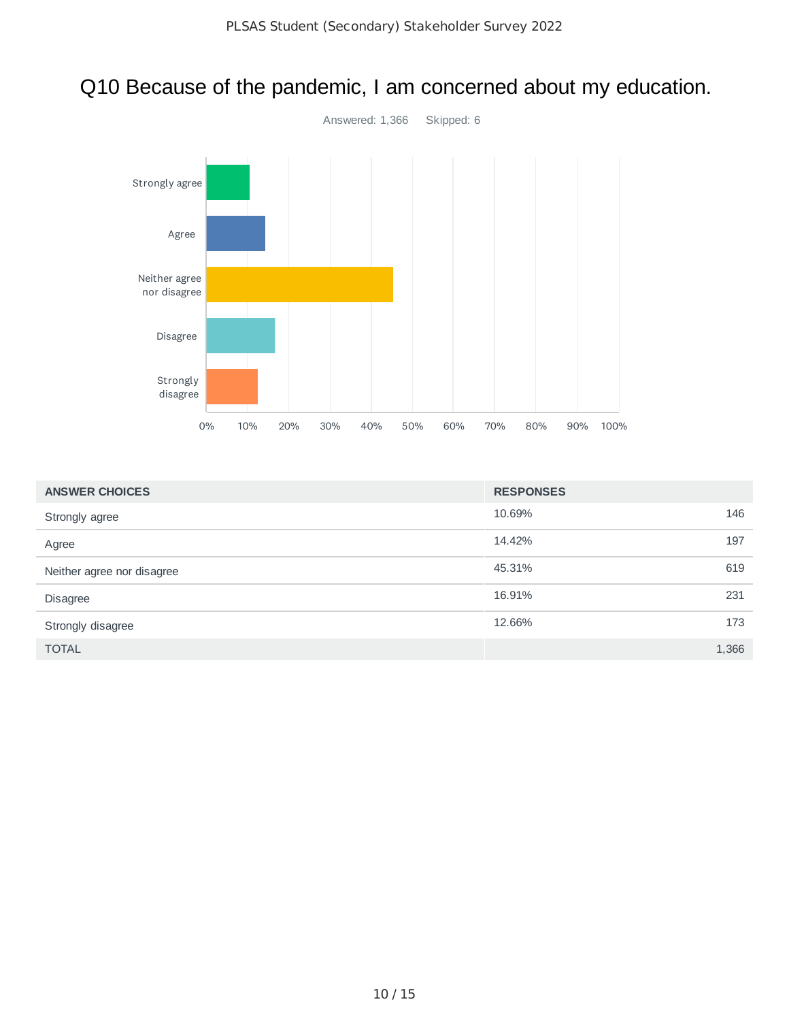# Q10 Because of the pandemic, I am concerned about my education. Answered: 1,366 Skipped: 6



| <b>ANSWER CHOICES</b>      | <b>RESPONSES</b> |       |
|----------------------------|------------------|-------|
| Strongly agree             | 10.69%           | 146   |
| Agree                      | 14.42%           | 197   |
| Neither agree nor disagree | 45.31%           | 619   |
| <b>Disagree</b>            | 16.91%           | 231   |
| Strongly disagree          | 12.66%           | 173   |
| <b>TOTAL</b>               |                  | 1,366 |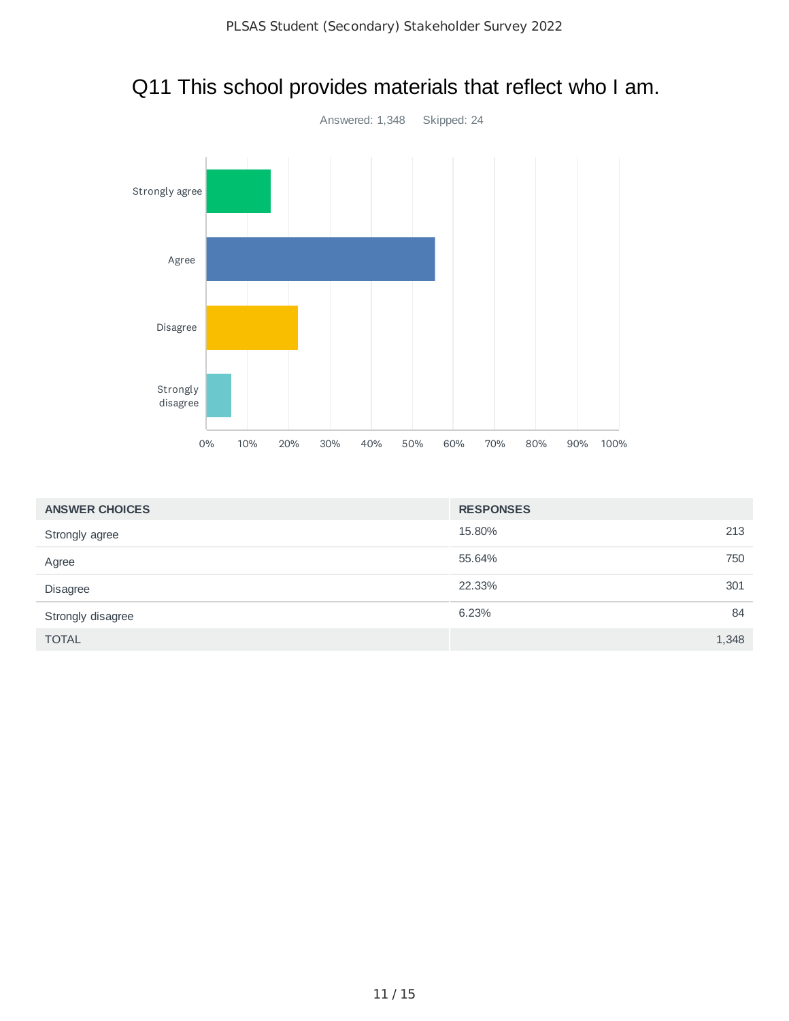

## Q11 This school provides materials that reflect who I am.

| <b>ANSWER CHOICES</b> | <b>RESPONSES</b> |       |
|-----------------------|------------------|-------|
| Strongly agree        | 15.80%           | 213   |
| Agree                 | 55.64%           | 750   |
| <b>Disagree</b>       | 22.33%           | 301   |
| Strongly disagree     | 6.23%            | 84    |
| <b>TOTAL</b>          |                  | 1,348 |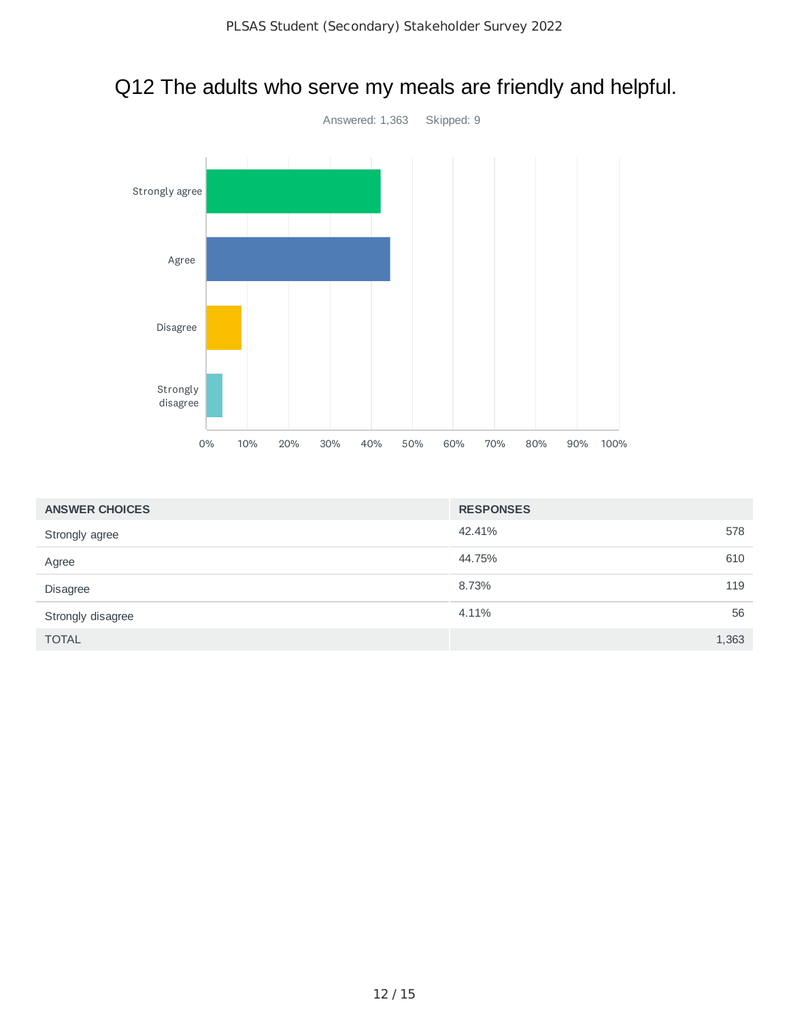

## Q12 The adults who serve my meals are friendly and helpful.

| <b>ANSWER CHOICES</b> | <b>RESPONSES</b> |       |
|-----------------------|------------------|-------|
| Strongly agree        | 42.41%           | 578   |
| Agree                 | 44.75%           | 610   |
| <b>Disagree</b>       | 8.73%            | 119   |
| Strongly disagree     | 4.11%            | 56    |
| <b>TOTAL</b>          |                  | 1,363 |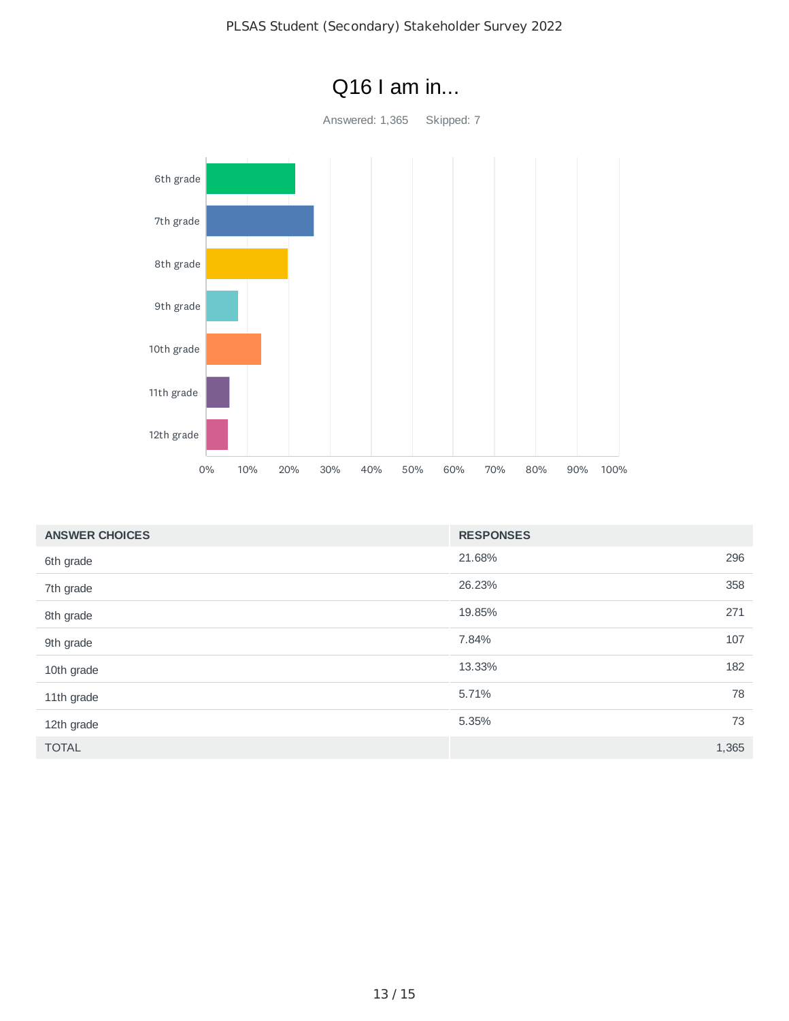

| <b>ANSWER CHOICES</b> | <b>RESPONSES</b> |
|-----------------------|------------------|
| 6th grade             | 296<br>21.68%    |
| 7th grade             | 358<br>26.23%    |
| 8th grade             | 271<br>19.85%    |
| 9th grade             | 107<br>7.84%     |
| 10th grade            | 182<br>13.33%    |
| 11th grade            | 78<br>5.71%      |
| 12th grade            | 73<br>5.35%      |
| <b>TOTAL</b>          | 1,365            |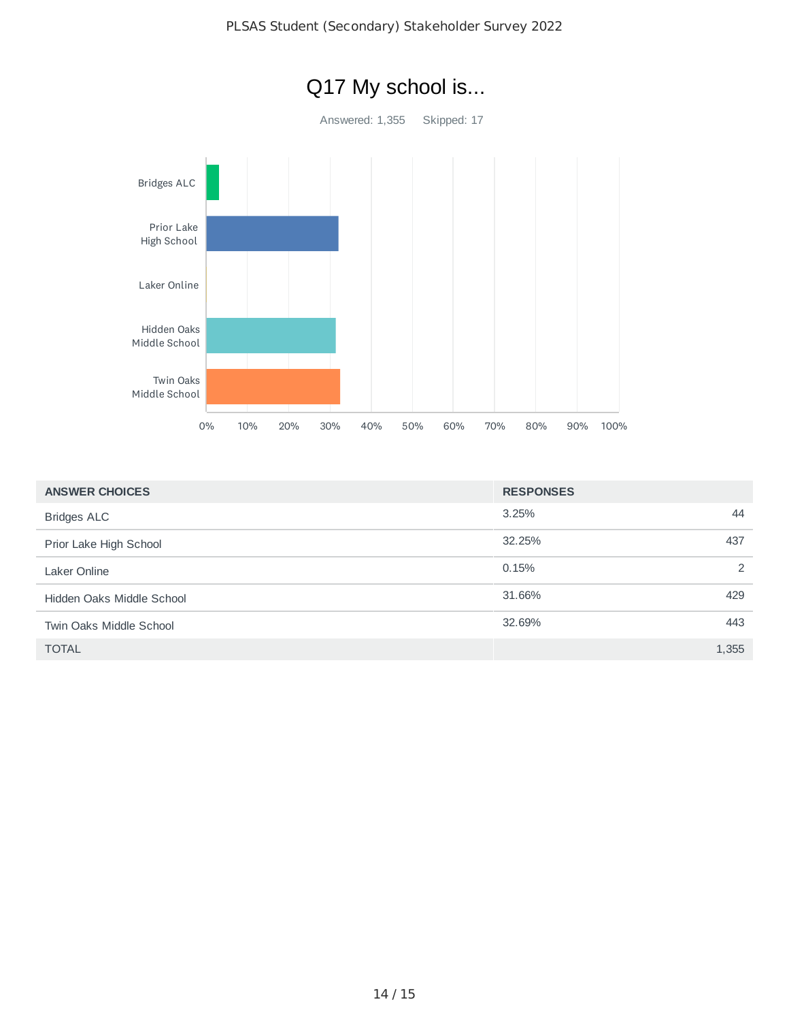

| <b>ANSWER CHOICES</b>     | <b>RESPONSES</b> |  |
|---------------------------|------------------|--|
| <b>Bridges ALC</b>        | 3.25%<br>44      |  |
| Prior Lake High School    | 32.25%<br>437    |  |
| Laker Online              | 2<br>0.15%       |  |
| Hidden Oaks Middle School | 429<br>31.66%    |  |
| Twin Oaks Middle School   | 443<br>32.69%    |  |
| <b>TOTAL</b>              | 1,355            |  |